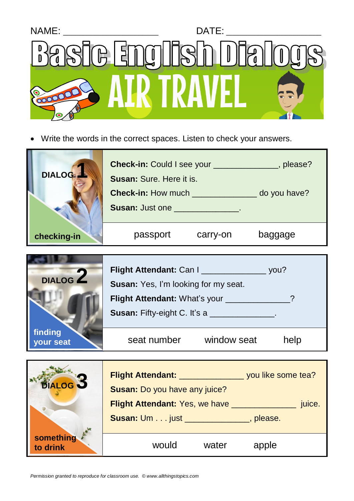

• Write the words in the correct spaces. Listen to check your answers.



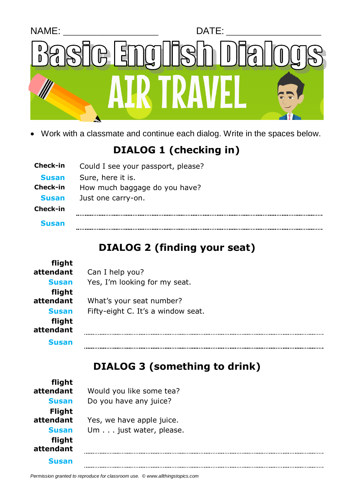

• Work with a classmate and continue each dialog. Write in the spaces below.

## **DIALOG 1 (checking in)**

| Check-in     | Could I see your passport, please? |
|--------------|------------------------------------|
| <b>Susan</b> | Sure, here it is.                  |
| Check-in     | How much baggage do you have?      |
| <b>Susan</b> | Just one carry-on.                 |
| Check-in     |                                    |
| <b>Susan</b> |                                    |

## **DIALOG 2 (finding your seat)**

| flight              |                                    |
|---------------------|------------------------------------|
| attendant           | Can I help you?                    |
| <b>Susan</b>        | Yes, I'm looking for my seat.      |
| flight              |                                    |
| attendant           | What's your seat number?           |
| <b>Susan</b>        | Fifty-eight C. It's a window seat. |
| flight<br>attendant |                                    |
| <b>Susan</b>        |                                    |

## **DIALOG 3 (something to drink)**

| flight              |                           |
|---------------------|---------------------------|
| attendant           | Would you like some tea?  |
| <b>Susan</b>        | Do you have any juice?    |
| <b>Flight</b>       |                           |
| attendant           | Yes, we have apple juice. |
| <b>Susan</b>        | Um just water, please.    |
| flight<br>attendant |                           |
| <b>Susan</b>        |                           |

*Permission granted to reproduce for classroom use. © www.allthingstopics.com*